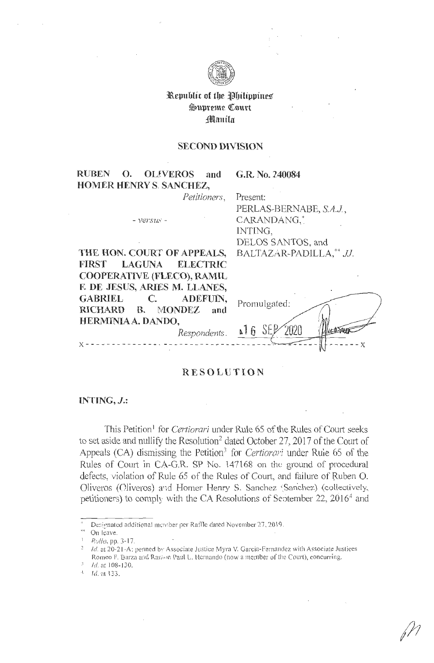

# Republic of the Philippines Supreme Court Manila

### **SECOND DIVISION**

#### **RUBEN OLIVEROS**  $\Omega$ . and **HOMER HENRY S. SANCHEZ,**

 $- *versus* -$ 

G.R. No. 240084

Petitioners, Present:

> PERLAS-BERNABE, S.A.J., CARANDANG,\* INTING, DELOS SANTOS, and BALTAZAR-PADILLA,\*\* JJ.

|                            | THE HON. COURT OF APPEALS,    |  |  |  |
|----------------------------|-------------------------------|--|--|--|
|                            | FIRST LAGUNA ELECTRIC         |  |  |  |
| COOPERATIVE (FLECO), RAMIL |                               |  |  |  |
|                            | F. DE JESUS, ARIES M. LLANES, |  |  |  |
|                            | GABRIEL C. ADEFUIN,           |  |  |  |
|                            | RICHARD B. MONDEZ and         |  |  |  |
| HERMINIAA. DANDO,          |                               |  |  |  |
|                            |                               |  |  |  |

| Promulgated: |  |
|--------------|--|
| اء           |  |

# **RESOLUTION**

Respondents.

#### INTING,  $J$ .:

This Petition<sup>1</sup> for *Certiorari* under Rule 65 of the Rules of Court seeks to set aside and nullify the Resolution<sup>2</sup> dated October 27, 2017 of the Court of Appeals (CA) dismissing the Petition<sup>3</sup> for *Certiorari* under Rule 65 of the Rules of Court in CA-G.R. SP No. 147168 on the ground of procedural defects, violation of Rule 65 of the Rules of Court, and failure of Ruben O. Oliveros (Cliveros) and Homer Henry S. Sanchez (Sanchez) (collectively, petitioners) to comply with the CA Resolutions of September 22, 2016<sup>4</sup> and

Designated additional member per Raffle dated November 27, 2019.

On leave.

Rollo, pp. 3-17.

Id. at 20-21-A; penned by Associate Justice Myra V. Garcia-Fernandez with Associate Justices Romeo F. Barza and Ramon Paul L. Hernando (now a member of the Court), concurring.

Id. at 108-130.

 $1/4$  d. at 133.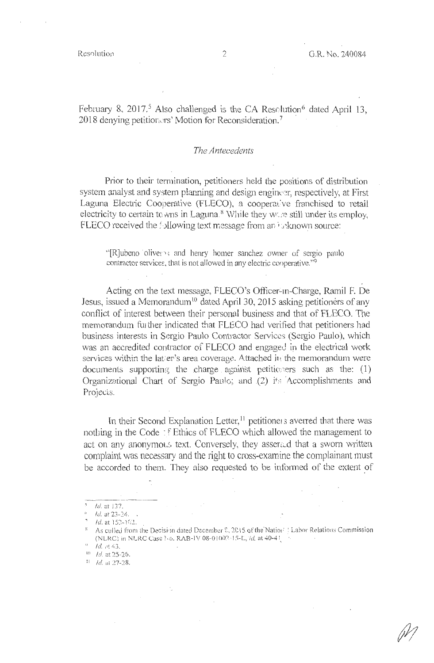February 8, 2017.<sup>5</sup> Also challenged is the CA Resolution<sup>6</sup> dated April 13, 2018 denying petitiorers' Motion for Reconsideration.<sup>7</sup>

## *The Antecedents*

Prior to their termination, petitioners held the positions of distribution system analyst and system planning and design engineer, respectively, at First Laguna Electric Cooperative (FLECO), a cooperative franchised to retail electricity to certain to wns in Laguna.<sup>8</sup> While they were still under its employ, FLECO received the 'bllowing text message from an *i*<sub>ta</sub>known source:

"[R]ubeno oliver , and henry homer sanchez owner of sergio paulo contractor services, that is not allowed in any electric cooperative."<sup>9</sup>

Acting on the text message, FLECO's Officer-in-Charge, Ramil F. De Jesus, issued a Memorandum<sup>10</sup> dated April 30, 2015 asking petitioners of any conflict of interest between their personal business and that of FLECO. The memorandum further indicated that FLECO had verified that petitioners had business interests in Sergio Paulo Contractor Services (Sergio Paulo), which was an accredited contractor of FLECO and engaged in the electrical work services within the lat/er's area coverage. Attached in the memorandum were documents supporting the charge against petitioners such as the:  $(1)$ Organizational Chart of Sergio Paulo; and .(2) its Accomplishments and Projects.

In their Second Explanation Letter,<sup>11</sup> petitione1 s averred that there was nothing in the Code : f Ethics of FLECO which allowed the management to act on any anonymous text. Conversely, they asserted that a sworn written complaint was necessary and the right to cross-examine the complainant must be accorded to them. They also requested to be informed of the extent of

 $Id$ . at 137.

Id. at 23-24.

*Id.* at 153-162.

As culled from the Decision dated December 2, 2015 of the Nation | Labor Relations Commission (NLRC) in NLRC Case No. RAB-IV 08-01002-15-L, *id.* at 40-4!

 $\frac{d}{10}$  *Id.* at 43.<br><sup>10</sup> *Id.* at 25-26.

<sup>&</sup>lt;sup>11</sup> *Id.* at 27-28.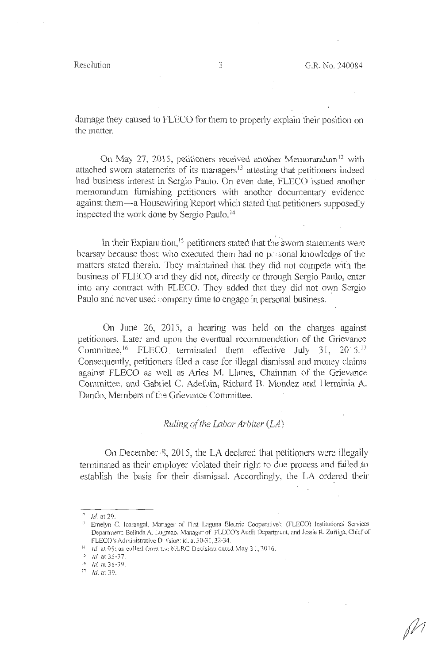Resolution ...,

damage they caused to FLECO for them to properly explain their position on the matter.

On May 27, 2015, petitioners received another Memorandum<sup>12</sup> with attached sworn statements of its managers<sup>13</sup> attesting that petitioners indeed had business interest in Sergio Paulo. On even date, FLECO issued another memorandum furnishing petitioners with another documentary evidence against them-a Housewiring Report which stated that petitioners supposedly inspected the work done by Sergio Paulo. <sup>14</sup>

In their Explan: tion,<sup>15</sup> petitioners stated that the swom statements were hearsay because those who executed them had no pessonal knowledge of the matters stated therein. They maintained that they did not compete with the business of FLECO and they did not, directly or through Sergio Paulo, enter into any contract with FLECO. They added that they did not own Sergio Paulo and never used company time to engage in personal business.

On June 26, 2015, a hearing was held on the charges against petitioners. Later and upon the eventual recommendation of the Grievance Committee,<sup>16</sup> FLECO terminated them effective July 31, 2015.<sup>17</sup> Consequently, petitioners filed a case for illegal dismissal and money claims against FLECO as well as Aries M. Llanes, Chainnan of the Grievance Committee, and Gabriel C. Adefuin, Richard B. Mondez and Herminia A. Dando, Members of the Grievance Committee.

## *Ruling of the Labor Arbiter (LA)*

On December 8, 2015, the LA declared that petitioners were illegally terminated as their employer violated their right to due process and failed .to establish the basis for their dismissal. Accordingly, the LA ordered their

 $12$  Id. at 29,<br> $13$  Emelyn C. Icarangal, Mar.ager of First Laguna Electric Cooperative': (FLECO) Institutional Services Department; Belinda A. Lugmao, Manager of FLECO's Audit Department, and Jessie R. Zuñiga, Chief of FLECO's Administrative Division; id. at 30-31, 32-34.

<sup>&</sup>lt;sup>14</sup> Id. at 95; as culled from the NLRC Decision dated May 31, 2016.

 $15$  Id. at 35-37.

 $16$  *Id.* at 38-39.

<sup>17</sup> Id. at 39.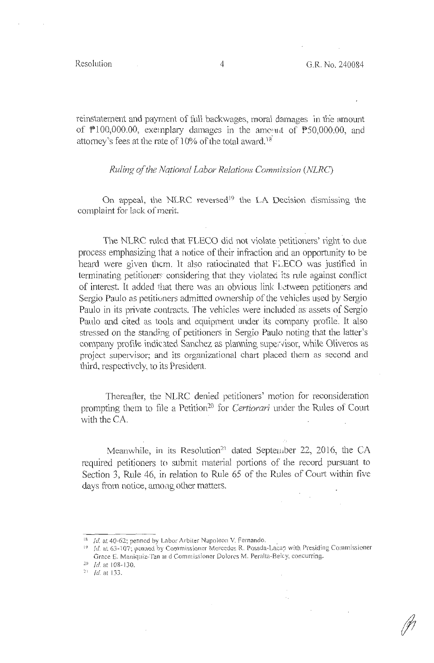reinstatement and payment of full backwages, moral damages in the amount of Pl00,000.00, exemplary damages in the amoimt of PS0,000:00, and attorney's fees at the rate of  $10\%$  of the total award.<sup>18</sup>

*Ruling of the National Labor Relations Commission (NLRC)* 

On appeal, the NLRC reversed<sup>19</sup> the LA Decision dismissing the complaint for lack of merit.

The NLRC ruled that FLECO did not violate petitioners' right to due process emphasizing that a notice of their infraction and an opportunity to be heard were given them. It also ratiocinated that FLECO was justified in terminating petitioners considering that they violated its rule against conflict of interest. It added that there was an obvious link Letween petitioners and Sergio Paulo as petitioners admitted ownership of the vehicles used by Sergio Paulo in its private contracts. The vehicles were included as assets of Sergio Paulo and cited as tools and equipment under its company profile. It also stressed on the standing of petitioners in Sergio Paulo noting that the latter's company profile indicated Sanchez as planning supervisor, while Oliveros as project supervisor; and its organizational chart placed them as second and third, respectively, to its President.

Thereafter, the NLRC denied petitioners' motion for reconsideration prompting them to file a Petition<sup>20</sup> for *Certiorari* under the Rules of Court with the CA.

Meanwhile, in its Resolution<sup>21</sup> dated September 22, 2016, the CA required petitioners to submit material portions of the record pursuant to Section 3, Rule 46, in relation to Rule 65 of the Rules of Court within five days from notice, among other matters.

<sup>&</sup>lt;sup>18</sup> Id. at 40-62; penned by Labor Arbiter Napoleon V. Fernando.

 $^{19}$  *Id.* at 63-107; penned by Commissioner Mercedes R. Posada-Lacap with Presiding Commissioner Grace E. Maniquiz-Tan al d Commissioner Dolores M. Peralta-Beley, concurring.

<sup>&</sup>lt;sup>20</sup> *Id.* at 108-130.

 $^{21}$  *Id.* at 133.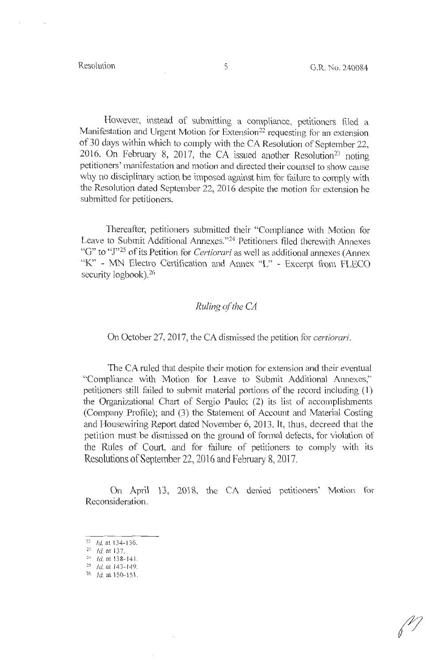However, instead of submitting a compliance, petitioners filed a Manifestation and Urgent Motion for Extension<sup>22</sup> requesting for an extension of 30 days within which to comply with the CA Resolution of September 22, 2016. On February 8, 2017, the CA issued another Resolution<sup>23</sup> noting petitioners' manifestation and motion and directed their counsel to show cause why no disciplinary action be imposed against him for failure to comply with the Resolution dated September 22, 2016 despite the motion for extension he submitted for petitioners.

Thereafter, petitioners submitted their "Compliance with Motion for Leave to Submit Additional Annexes."<sup>24</sup> Petitioners filed therewith Annexes "G" to "J"25 of its Petition for *Certiorari* as well as additional annexes (Annex "K" - MN Electro Certification and Annex "L" - Excerpt from FLECO security logbook).<sup>26</sup>

## *Ruling of the CA*

On October 27, 2017, the CA dismissed the petition for *certiorari.* 

The CA ruled that despite their motion for extension and their eventual "Compliance with Motion for Leave to Submit Additional Annexes," petitioners still failed to submit material portions of the record including (I) the Organizational Chart of Sergio Paulo; (2) its list of accomplishments (Company Profile); and (3) the Statement of Account and Material Costing and Housewiring Report dated November 6, 2013. It, thus, decreed that the petition must be dismissed on the ground of formal defects, for violation of the Rules of Court, and for failure of petitioners to comply with its Resolutions of September 22, 2016 and February 8, 2017.

On April 13, 2018, the CA denied petitioners' Motion for Reconsideration.

- $22$  Id. at 134-136.
- $23$  Id. at 137.
- $24$  Id. at 138-141.
- <sup>25</sup> *Id.* at 143-149.<br><sup>26</sup> *Id.* at 150-151.
-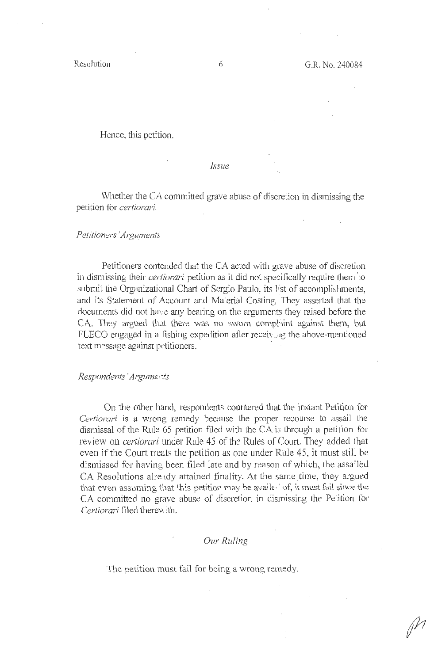Hence, this petition.

*Issue* 

Whether the CA committed grave abuse of discretion in dismissing the petition for *certiorari.* 

#### *Petitioners' Arguments*

Petitioners contended that the CA acted with grave abuse of discretion in dismissing their *certiorari* petition as it did not specifically require them to submit the Organizational Chart of Sergio Paulo, its list of accomplishments, and its Statement of Account and Material Costing. They asserted that the documents did not have any bearing on the arguments they raised before the CA. They argued that there was no sworn complaint against them, but FLECO engaged in a fishing expedition after receiving the above-mentioned text message against petitioners.

## *Respondents 'Argum£rts*

On the other hand, respondents countered that the instant Petition for *Certiorari* is a wrong remedy because the proper recourse to assail the dismissal of the Rule 65 petition filed with the CA is through a petition for review on *certiorari* under Rule 45 of the Rules of Court. They added that even if the Court treats the petition as one under Rule 45, it must still be dismissed for having been filed late and by reason of which, the assailed CA Resolutions already attained finality. At the same time, they argued that even assuming that this petition may be availed of, it must fail since the CA committed no grave abuse of discretion in dismissing the Petition for *Certiorari* filed there\' ·ith.

## *Our Ruling*

The petition must fail for being a wrong remedy.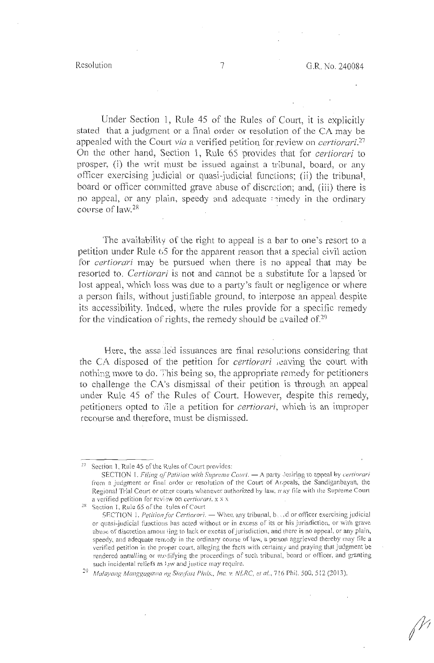Under Section 1, Rule 45 of the Rules of Court, it is explicitly stated that a judgment or a final order or resolution of the CA may be appealed with the Court *via* a verified petition for review on *certiorari*.<sup>27</sup> On the other hand, Section 1, Rule 65 provides that for *certiorari* to prosper, (i) the writ must be issued against a tribunal, board, or any officer exercising judicial or quasi-judicial function s; (ii) the tribunal, board or officer committed grave abuse of discretion; and, (iii) there is no appeal, or any plain, speedy and adequate seinedy in the ordinary course of  $law.^{28}$ 

The availability of the right to appeal is a bar to one's resort to a petition under Rule 65 for the apparent reason that a special civil action for *certiorari* may be pursued when there is no appeal that may be resorted to. *Certiorari* is not and cannot be a substitute for a lapsed or lost appeal, which loss was due to a party's fault or negligence or where a person fails, without justifiable ground, to interpose an appeal despite its accessibility. Indeed, where the rules provide for a specific remedy for the vindication of rights, the remedy should be availed of.<sup>29</sup>

Here, the assalled issuances are final resolutions considering that the CA disposed of the petition for *certiorari icaving* the court with nothing more to do. This being so, the appropriate remedy for petitioners to challenge the CA's dismissal of their petition is through an appeal under Rule 45 of the Rules of Court. However, despite this remedy, petitioners opted to *file* a petition for *certiorari*, which is an improper recourse and therefore, must be dismissed.

<sup>&</sup>lt;sup>27</sup> Section 1, Rule 45 of the Rules of Court provides:

SECTION 1. *Filing of Petition with Supreme Court*.  $-$  A party *Jesiring to appeal by <i>certiorari* from a judgment or final order or resolution of the Court of Ar,peals, the Sandiganbayan, the Regional Trial Court or other courts whenever authorized by law, may file with the Supreme Court a verified petition for review on *certiorari*. *x x x* 28 Section 1, Rule 65 of the Rules of Court

SF.CTION 1. *Petition for Certiorari.* - When any tribunal, b..., d or officer exercising judicial or quasi-judicial functions has acted without or in excess of its or his jurisdiction, or with grave abuse of discretion amour ting to lack or excess of jurisdiction, and there is no appeal, or any plain, speedy, and adequate remedy in the ordinary course of law, a person aggrieved thereby may file a verified petition in the proper court, alleging the facts with certainty and praying that judgment be rendered annulling or modifying the proceedings of such tribunal, board or officer, and granting such incidental reliefs as  $i_2w$  and justice may require.

<sup>&</sup>lt;sup>29</sup> Malayang Manggagawa ng Stayfast Phils., Inc. v. NLRC, et al., 716 Phil. 500, 512 (2013).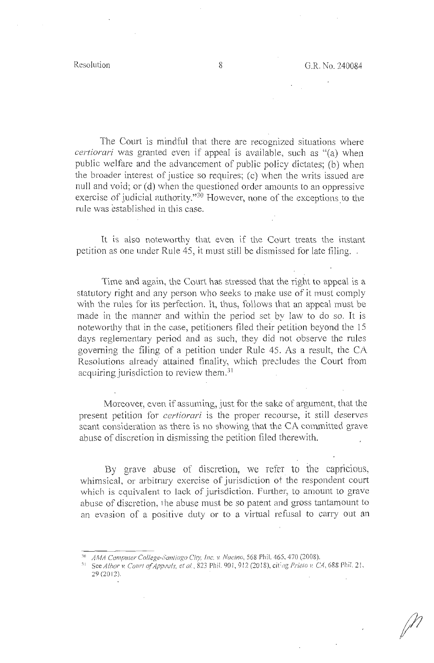The Court is mindful that there are recognized situations where *certiorari* was granted even if appeal is available, such as "(a) when public welfare and the advancement of public policy dictates; (b) when the broader interest of justice so requires; ( c) when the writs issued are null and void; or (d) when the questioned order amounts to an oppressive exercise of judicial authority."<sup>30</sup> However, none of the exceptions to the rule was established in this case.

It is also noteworthy that even if the Court treats the instant petition as one under Rule 45, it must still be dismissed for late filing.

Time and again, the Cowt has stressed that the right to appeal is a statutory right and any person who seeks to make use of it must comply with the rules for its perfection. It, thus, follows that an appeal must be made in the manner and within the period set by law to do so. It is noteworthy that in the case, petitioners filed their petition beyond the 15 days reglementary period and as such, they did not observe the rules governing the filing of a petition under Rule 45. As a result, the CA Resolutions already attained finality, which precludes the Court from acquiring jurisdiction to review them.<sup>31</sup>

Moreover, even if assuming, just for the sake of argument, that the present petition for *certiorari* is the proper recourse, it still deserves scant consideration as there is no showing that the CA committed grave abuse of discretion in dismissing the petition filed therewith.

By grave abuse of discretion, we refer to the capricious, whimsical, or arbitrary exercise of jurisdiction ot the respondent court which is equivalent to lack of jurisdiction. Further, to amount to grave abuse of discretion, the abuse must be so patent and gross tantamount to an evasion of a positive duty or to a virtual refusal to cany out an

<sup>:;</sup>o *AMA Computer College-Santiago Cit)!, Inc. v. Nacino,* 568 Phil. 465, 470 (2008).

<sup>31</sup> See *Albor v. Court of Appeals, et al.*, 823 Phil. 901, 912 (2018), citing *Prieto v. CA*, 688 Phil. 21, 29 (20 12).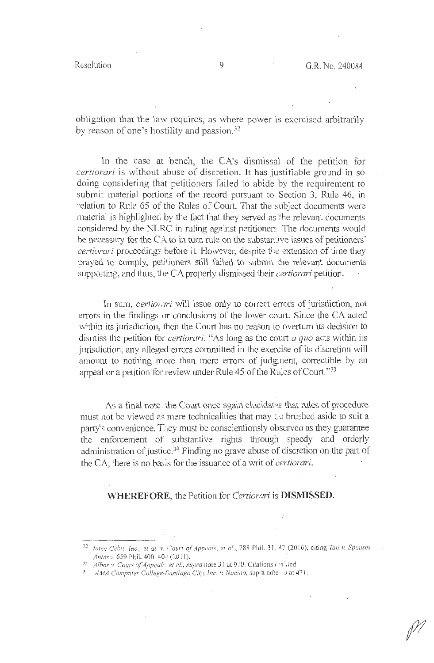obligation that the law requires, as where power is exercised arbitrarily by reason of one's hostility and passion.32

In the case at bench, the CA's dismissal of the petition for *certiorari* is without abuse of discretion. It has justifiable ground in so doing considering that petitioners failed to abide by the requirement to submit material portions of the record pursuant to Section 3, Rule 46, in relation to Rule 65 of the Rules of Court. That the subject documents were material is highlighted by the fact that they served as the relevant documents considered by the NLRC in ruling against petitioners. The documents would be necessary for the CA to in turn rule on the substantive issues of petitioners' *certiorari* proceedings before it. However, despite the extension of time they prayed to comply, petitioners still failed to submit the relevant documents supporting, and thus, the CA properly dismissed their *certiorari* petition.

In sum, *certion ari* will issue only to correct errors of jurisdiction, not errors in the findings or conclusions of the lower court. Since the CA acted within its jurisdiction, then the Court has no reason to overturn its decision to dismiss the petition for *certiorari*. "As long as the court *a quo* acts within its jurisdiction, any alleged errors committed in the exercise of its discretion will amount to nothing more than mere errors of judgment, correctible by an appeal or a petition for review under Rule 45 of the Rules of Court."33

As a final note, the Court once again elucidates that rules of procedure must not be viewed as mere technicalities that may  $\infty$  brushed aside to suit a patty's convenience. T:1ey must be conscientiously observed as they guarantee the enforcement of substantive rights through speedy and orderly administration of justice.<sup>34</sup> Finding no grave abuse of discretion on the part of the CA, there is no basis for the issuance of a writ of *certiorari*.

## **WHEREFORE,** the Petition for *Certiorari* is **DISMISSED .**

<sup>32</sup> *Intec Cebu, Inc., et al. v. Court of Appeals, et al., 788 Phil. 31, 42 (2016), citing <i>Tan v. Spouses Antazo*, 659 Phil. 400, 40.<sup>(2011)</sup>.

<sup>33</sup> Albor v. Court of Appeal: et al., supra note 31 at 910. Citations contred.

<sup>34</sup> *AMA Computer College-Santiago City, Inc. v. Nacino, supra nole* +3 at 471.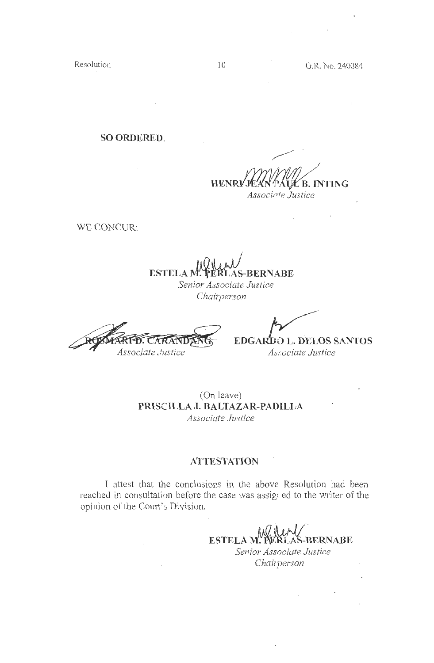Resolution

**SO ORDERED.** 

**HENRI B. INTING** Associate Justice

WE CONCUR:

**ESTELAN BERNABE** Senior Associate Justice

Chairperson

**TDANG** Associate Justice

 $\mathcal{L}$ 

EDGARDO L. DELOS SANTOS As ociate Justice

(On leave) PRISCILLA J. BALTAZAR-PADILLA Associate Justice

## **ATTESTATION**

I attest that the conclusions in the above Resolution had been reached in consultation before the case was assigned to the writer of the opinion of the Court's Division.

**ESTELAM. BERNABE** Senior Associate Justice Chairperson

 $\mathbf{I}$ 

 $\mathcal{L}^{\text{max}}(\mathcal{L}^{\text{max}})$  , where  $\mathcal{L}^{\text{max}}$